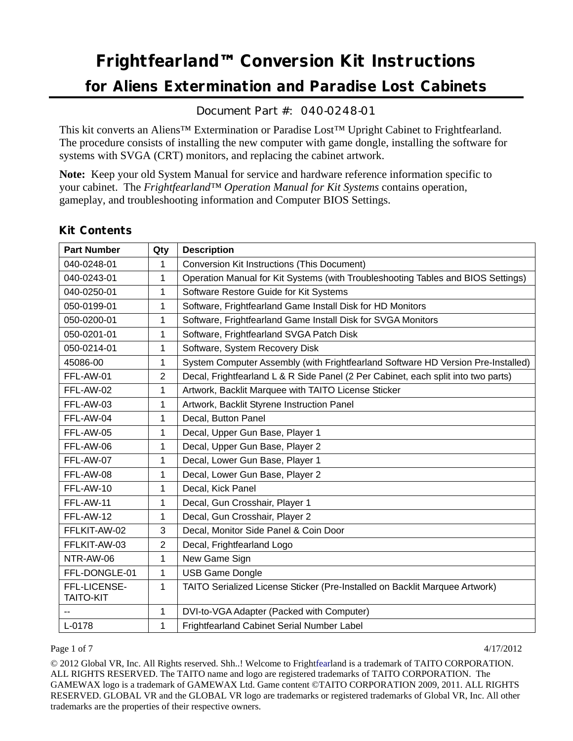# **Frightfearland***™* **Conversion Kit Instructions**

# **for Aliens Extermination and Paradise Lost Cabinets**

Document Part #: 040-0248-01

This kit converts an Aliens™ Extermination or Paradise Lost*™* Upright Cabinet to Frightfearland. The procedure consists of installing the new computer with game dongle, installing the software for systems with SVGA (CRT) monitors, and replacing the cabinet artwork.

**Note:** Keep your old System Manual for service and hardware reference information specific to your cabinet. The *Frightfearland™ Operation Manual for Kit Systems* contains operation, gameplay, and troubleshooting information and Computer BIOS Settings.

| <b>Part Number</b>               | Qty            | <b>Description</b>                                                                |  |  |
|----------------------------------|----------------|-----------------------------------------------------------------------------------|--|--|
| 040-0248-01                      | 1              | <b>Conversion Kit Instructions (This Document)</b>                                |  |  |
| 040-0243-01                      | 1              | Operation Manual for Kit Systems (with Troubleshooting Tables and BIOS Settings)  |  |  |
| 040-0250-01                      | 1              | Software Restore Guide for Kit Systems                                            |  |  |
| 050-0199-01                      | 1              | Software, Frightfearland Game Install Disk for HD Monitors                        |  |  |
| 050-0200-01                      | 1              | Software, Frightfearland Game Install Disk for SVGA Monitors                      |  |  |
| 050-0201-01                      | 1              | Software, Frightfearland SVGA Patch Disk                                          |  |  |
| 050-0214-01                      | 1              | Software, System Recovery Disk                                                    |  |  |
| 45086-00                         | 1              | System Computer Assembly (with Frightfearland Software HD Version Pre-Installed)  |  |  |
| FFL-AW-01                        | $\overline{2}$ | Decal, Frightfearland L & R Side Panel (2 Per Cabinet, each split into two parts) |  |  |
| FFL-AW-02                        | 1              | Artwork, Backlit Marquee with TAITO License Sticker                               |  |  |
| FFL-AW-03                        | 1              | Artwork, Backlit Styrene Instruction Panel                                        |  |  |
| FFL-AW-04                        | 1              | Decal, Button Panel                                                               |  |  |
| FFL-AW-05                        | $\mathbf{1}$   | Decal, Upper Gun Base, Player 1                                                   |  |  |
| FFL-AW-06                        | 1              | Decal, Upper Gun Base, Player 2                                                   |  |  |
| FFL-AW-07                        | 1              | Decal, Lower Gun Base, Player 1                                                   |  |  |
| FFL-AW-08                        | 1              | Decal, Lower Gun Base, Player 2                                                   |  |  |
| FFL-AW-10                        | 1              | Decal, Kick Panel                                                                 |  |  |
| FFL-AW-11                        | 1              | Decal, Gun Crosshair, Player 1                                                    |  |  |
| FFL-AW-12                        | $\mathbf{1}$   | Decal, Gun Crosshair, Player 2                                                    |  |  |
| FFLKIT-AW-02                     | 3              | Decal, Monitor Side Panel & Coin Door                                             |  |  |
| FFLKIT-AW-03                     | $\overline{2}$ | Decal, Frightfearland Logo                                                        |  |  |
| NTR-AW-06                        | 1              | New Game Sign                                                                     |  |  |
| FFL-DONGLE-01                    | 1              | <b>USB Game Dongle</b>                                                            |  |  |
| FFL-LICENSE-<br><b>TAITO-KIT</b> | 1              | TAITO Serialized License Sticker (Pre-Installed on Backlit Marquee Artwork)       |  |  |
|                                  | 1              | DVI-to-VGA Adapter (Packed with Computer)                                         |  |  |
| L-0178                           | 1              | Frightfearland Cabinet Serial Number Label                                        |  |  |

# **Kit Contents**

#### Page 1 of 7  $4/17/2012$

© 2012 Global VR, Inc. All Rights reserved. Shh..! Welcome to Frightfearland is a trademark of TAITO CORPORATION. ALL RIGHTS RESERVED. The TAITO name and logo are registered trademarks of TAITO CORPORATION. The GAMEWAX logo is a trademark of GAMEWAX Ltd. Game content ©TAITO CORPORATION 2009, 2011. ALL RIGHTS RESERVED. GLOBAL VR and the GLOBAL VR logo are trademarks or registered trademarks of Global VR, Inc. All other trademarks are the properties of their respective owners.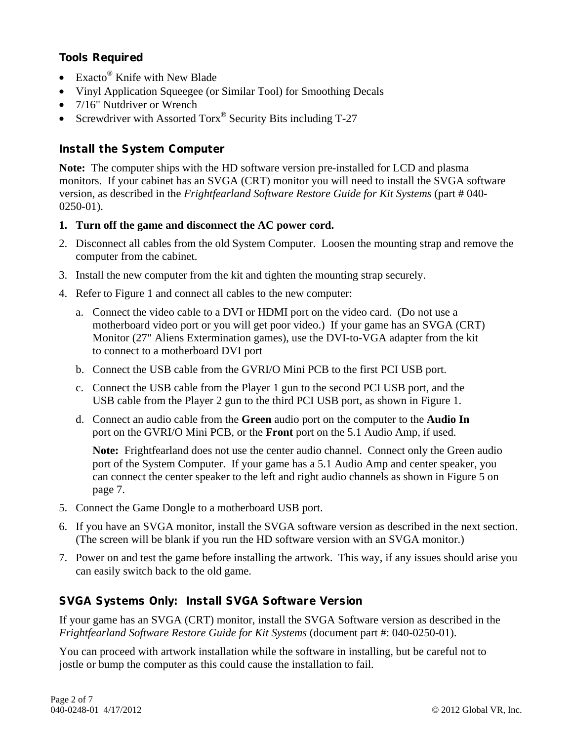# **Tools Required**

- Exacto<sup>®</sup> Knife with New Blade
- Vinyl Application Squeegee (or Similar Tool) for Smoothing Decals
- 7/16" Nutdriver or Wrench
- Screwdriver with Assorted Torx<sup>®</sup> Security Bits including T-27

# **Install the System Computer**

**Note:** The computer ships with the HD software version pre-installed for LCD and plasma monitors. If your cabinet has an SVGA (CRT) monitor you will need to install the SVGA software version, as described in the *Frightfearland Software Restore Guide for Kit Systems* (part # 040- 0250-01).

#### **1. Turn off the game and disconnect the AC power cord.**

- 2. Disconnect all cables from the old System Computer. Loosen the mounting strap and remove the computer from the cabinet.
- 3. Install the new computer from the kit and tighten the mounting strap securely.
- 4. Refer to Figure 1 and connect all cables to the new computer:
	- a. Connect the video cable to a DVI or HDMI port on the video card. (Do not use a motherboard video port or you will get poor video.) If your game has an SVGA (CRT) Monitor (27" Aliens Extermination games), use the DVI-to-VGA adapter from the kit to connect to a motherboard DVI port
	- b. Connect the USB cable from the GVRI/O Mini PCB to the first PCI USB port.
	- c. Connect the USB cable from the Player 1 gun to the second PCI USB port, and the USB cable from the Player 2 gun to the third PCI USB port, as shown in Figure 1.
	- d. Connect an audio cable from the **Green** audio port on the computer to the **Audio In** port on the GVRI/O Mini PCB, or the **Front** port on the 5.1 Audio Amp, if used.

**Note:** Frightfearland does not use the center audio channel. Connect only the Green audio port of the System Computer. If your game has a 5.1 Audio Amp and center speaker, you can connect the center speaker to the left and right audio channels as shown in Figure 5 on page 7.

- 5. Connect the Game Dongle to a motherboard USB port.
- 6. If you have an SVGA monitor, install the SVGA software version as described in the next section. (The screen will be blank if you run the HD software version with an SVGA monitor.)
- 7. Power on and test the game before installing the artwork. This way, if any issues should arise you can easily switch back to the old game.

# **SVGA Systems Only: Install SVGA Software Version**

If your game has an SVGA (CRT) monitor, install the SVGA Software version as described in the *Frightfearland Software Restore Guide for Kit Systems* (document part #: 040-0250-01).

You can proceed with artwork installation while the software in installing, but be careful not to jostle or bump the computer as this could cause the installation to fail.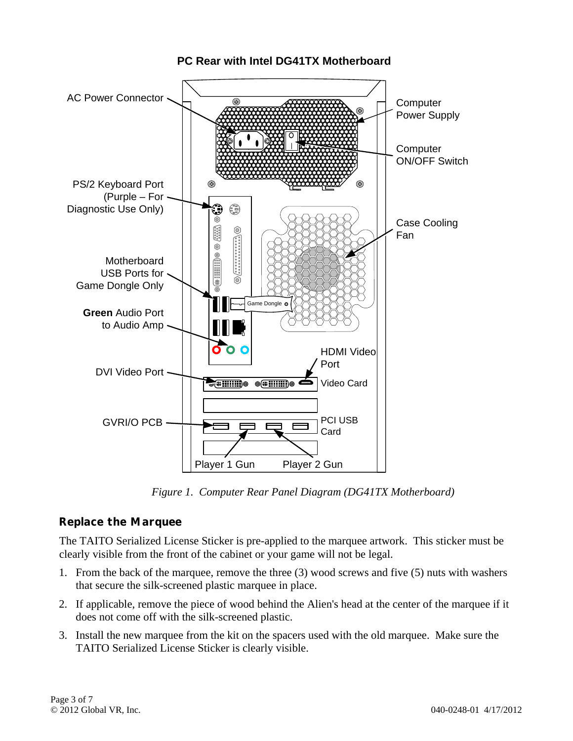

#### **PC Rear with Intel DG41TX Motherboard**

*Figure 1. Computer Rear Panel Diagram (DG41TX Motherboard)* 

# **Replace the Marquee**

The TAITO Serialized License Sticker is pre-applied to the marquee artwork. This sticker must be clearly visible from the front of the cabinet or your game will not be legal.

- 1. From the back of the marquee, remove the three (3) wood screws and five (5) nuts with washers that secure the silk-screened plastic marquee in place.
- 2. If applicable, remove the piece of wood behind the Alien's head at the center of the marquee if it does not come off with the silk-screened plastic.
- 3. Install the new marquee from the kit on the spacers used with the old marquee. Make sure the TAITO Serialized License Sticker is clearly visible.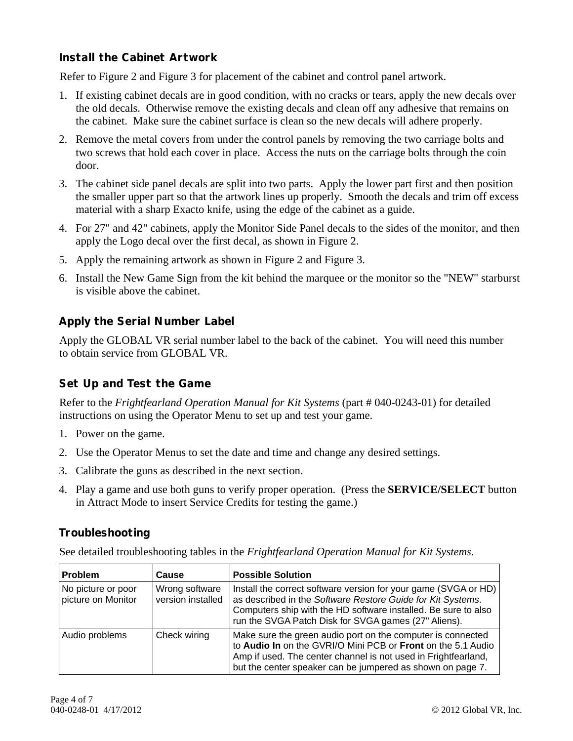# **Install the Cabinet Artwork**

Refer to Figure 2 and Figure 3 for placement of the cabinet and control panel artwork.

- 1. If existing cabinet decals are in good condition, with no cracks or tears, apply the new decals over the old decals. Otherwise remove the existing decals and clean off any adhesive that remains on the cabinet. Make sure the cabinet surface is clean so the new decals will adhere properly.
- 2. Remove the metal covers from under the control panels by removing the two carriage bolts and two screws that hold each cover in place. Access the nuts on the carriage bolts through the coin door.
- 3. The cabinet side panel decals are split into two parts. Apply the lower part first and then position the smaller upper part so that the artwork lines up properly. Smooth the decals and trim off excess material with a sharp Exacto knife, using the edge of the cabinet as a guide.
- 4. For 27" and 42" cabinets, apply the Monitor Side Panel decals to the sides of the monitor, and then apply the Logo decal over the first decal, as shown in Figure 2.
- 5. Apply the remaining artwork as shown in Figure 2 and Figure 3.
- 6. Install the New Game Sign from the kit behind the marquee or the monitor so the "NEW" starburst is visible above the cabinet.

# **Apply the Serial Number Label**

Apply the GLOBAL VR serial number label to the back of the cabinet. You will need this number to obtain service from GLOBAL VR.

# **Set Up and Test the Game**

Refer to the *Frightfearland Operation Manual for Kit Systems* (part # 040-0243-01) for detailed instructions on using the Operator Menu to set up and test your game.

- 1. Power on the game.
- 2. Use the Operator Menus to set the date and time and change any desired settings.
- 3. Calibrate the guns as described in the next section.
- 4. Play a game and use both guns to verify proper operation. (Press the **SERVICE/SELECT** button in Attract Mode to insert Service Credits for testing the game.)

# **Troubleshooting**

See detailed troubleshooting tables in the *Frightfearland Operation Manual for Kit Systems*.

| <b>Problem</b>                           | Cause                               | <b>Possible Solution</b>                                                                                                                                                                                                                                    |
|------------------------------------------|-------------------------------------|-------------------------------------------------------------------------------------------------------------------------------------------------------------------------------------------------------------------------------------------------------------|
| No picture or poor<br>picture on Monitor | Wrong software<br>version installed | Install the correct software version for your game (SVGA or HD)<br>as described in the Software Restore Guide for Kit Systems.<br>Computers ship with the HD software installed. Be sure to also<br>run the SVGA Patch Disk for SVGA games (27" Aliens).    |
| Audio problems                           | Check wiring                        | Make sure the green audio port on the computer is connected<br>to Audio In on the GVRI/O Mini PCB or Front on the 5.1 Audio<br>Amp if used. The center channel is not used in Frightfearland,<br>but the center speaker can be jumpered as shown on page 7. |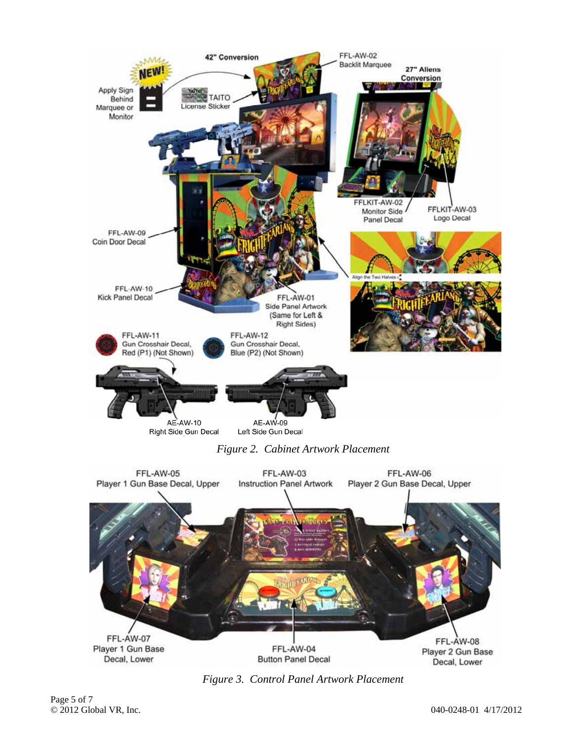

*Figure 2. Cabinet Artwork Placement* 



*Figure 3. Control Panel Artwork Placement*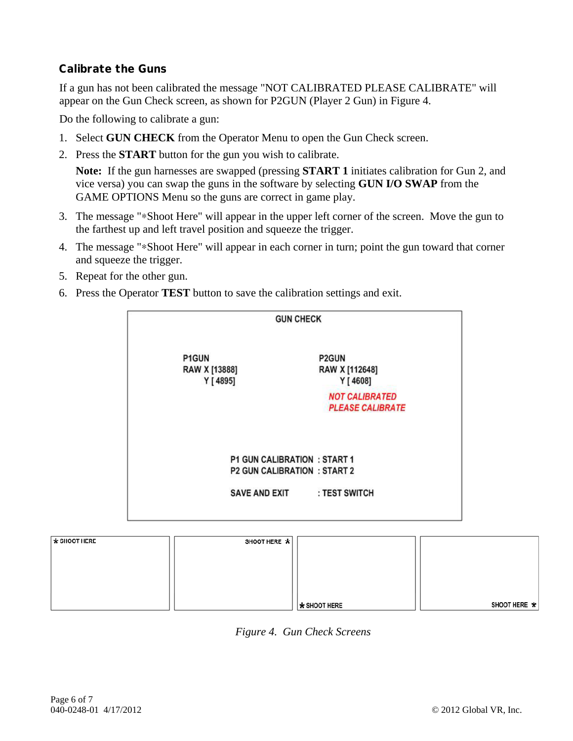# **Calibrate the Guns**

If a gun has not been calibrated the message "NOT CALIBRATED PLEASE CALIBRATE" will appear on the Gun Check screen, as shown for P2GUN (Player 2 Gun) in Figure 4.

Do the following to calibrate a gun:

- 1. Select **GUN CHECK** from the Operator Menu to open the Gun Check screen.
- 2. Press the **START** button for the gun you wish to calibrate.

**Note:** If the gun harnesses are swapped (pressing **START 1** initiates calibration for Gun 2, and vice versa) you can swap the guns in the software by selecting **GUN I/O SWAP** from the GAME OPTIONS Menu so the guns are correct in game play.

- 3. The message "∗Shoot Here" will appear in the upper left corner of the screen. Move the gun to the farthest up and left travel position and squeeze the trigger.
- 4. The message "∗Shoot Here" will appear in each corner in turn; point the gun toward that corner and squeeze the trigger.
- 5. Repeat for the other gun.
- 6. Press the Operator **TEST** button to save the calibration settings and exit.

| P1GUN                     | P2GUN                                                                      |
|---------------------------|----------------------------------------------------------------------------|
| RAW X [13888]<br>Y [4895] | RAW X [112648]<br>Y [4608]                                                 |
|                           | <b>NOT CALIBRATED</b><br><b>PLEASE CALIBRATE</b>                           |
|                           |                                                                            |
|                           | <b>P1 GUN CALIBRATION : START 1</b><br><b>P2 GUN CALIBRATION : START 2</b> |
|                           |                                                                            |

| $\cdots$ | 0.0001111112 |                    |              |
|----------|--------------|--------------------|--------------|
|          |              |                    |              |
|          |              |                    |              |
|          |              |                    |              |
|          |              |                    |              |
|          |              |                    |              |
|          |              |                    |              |
|          |              |                    |              |
|          |              |                    |              |
|          |              |                    |              |
|          |              |                    |              |
|          |              |                    |              |
|          |              | $\star$ SHOOT HERE | SHOOT HERE * |
|          |              |                    |              |

*Figure 4. Gun Check Screens* 

 $+$  SHOOT HERE